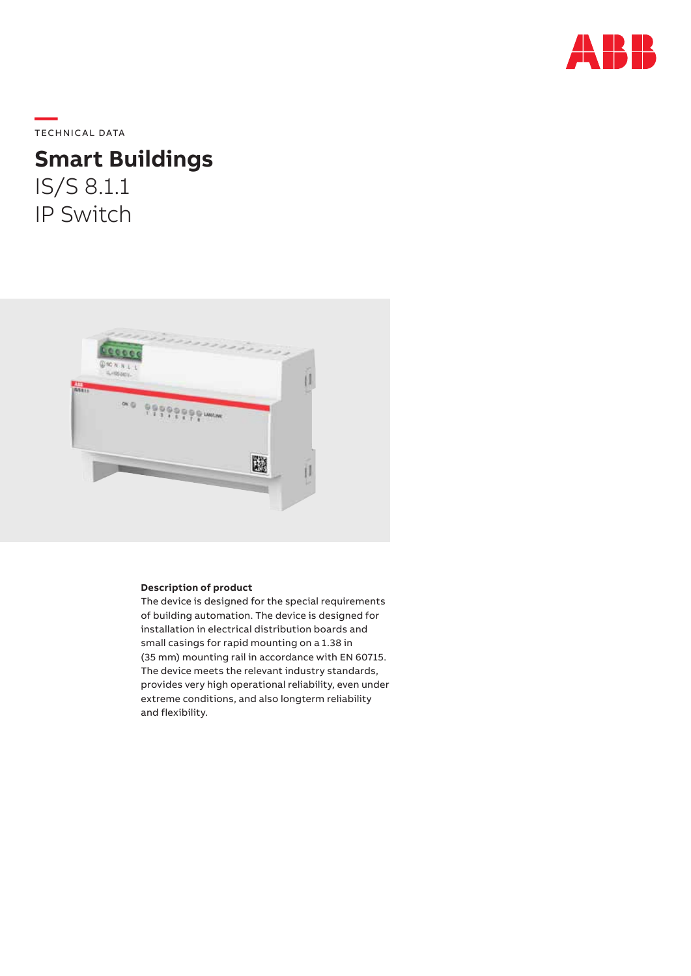

**—**  TECHNICAL DATA

# **Smart Buildings** IS/S 8.1.1 IP Switch



#### **Description of product**

The device is designed for the special requirements of building automation. The device is designed for installation in electrical distribution boards and small casings for rapid mounting on a 1.38 in (35 mm) mounting rail in accordance with EN 60715. The device meets the relevant industry standards, provides very high operational reliability, even under extreme conditions, and also longterm reliability and flexibility.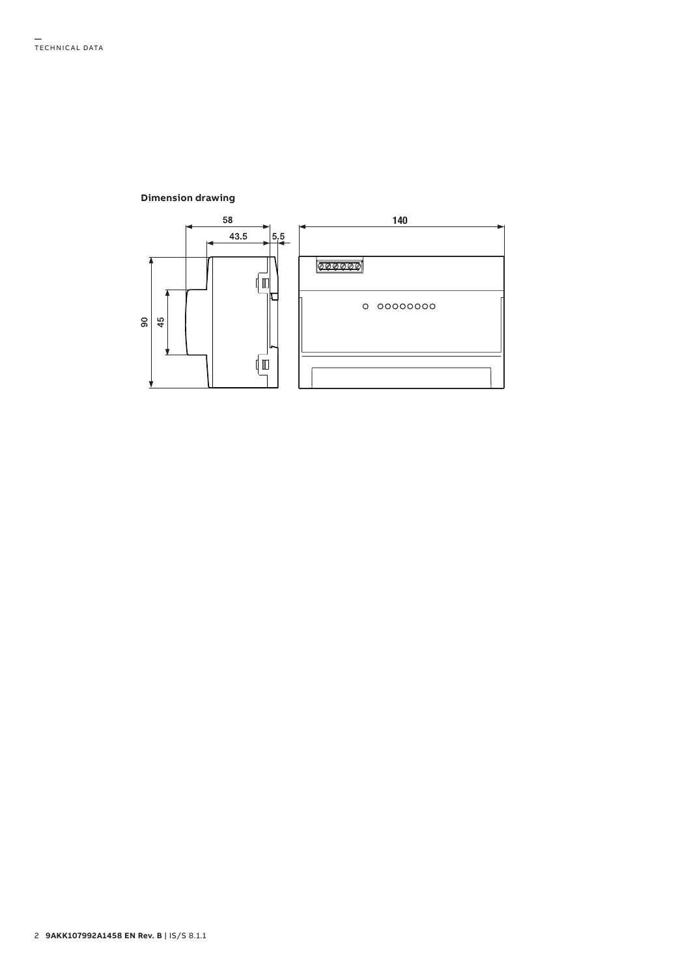<span id="page-1-0"></span>**Dimension drawing**

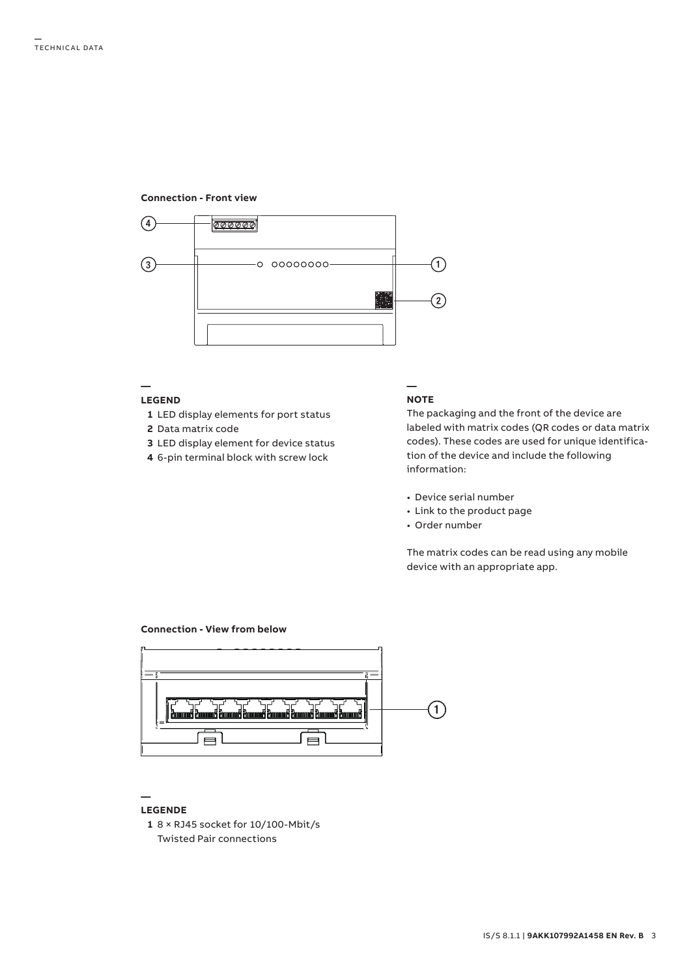#### **Connection - Front view**



#### **— LEGEND**

- **1** LED display elements for port status
- **2** Data matrix code
- **3** LED display element for device status
- **4** 6-pin terminal block with screw lock

#### **NOTE**

**—**

The packaging and the front of the device are labeled with matrix codes (QR codes or data matrix codes). These codes are used for unique identification of the device and include the following information:

- Device serial number
- Link to the product page
- Order number

The matrix codes can be read using any mobile device with an appropriate app.

### **Connection - View from below**



#### **LEGENDE**

**—**

**1** 8 × RJ45 socket for 10/100-Mbit/s Twisted Pair connections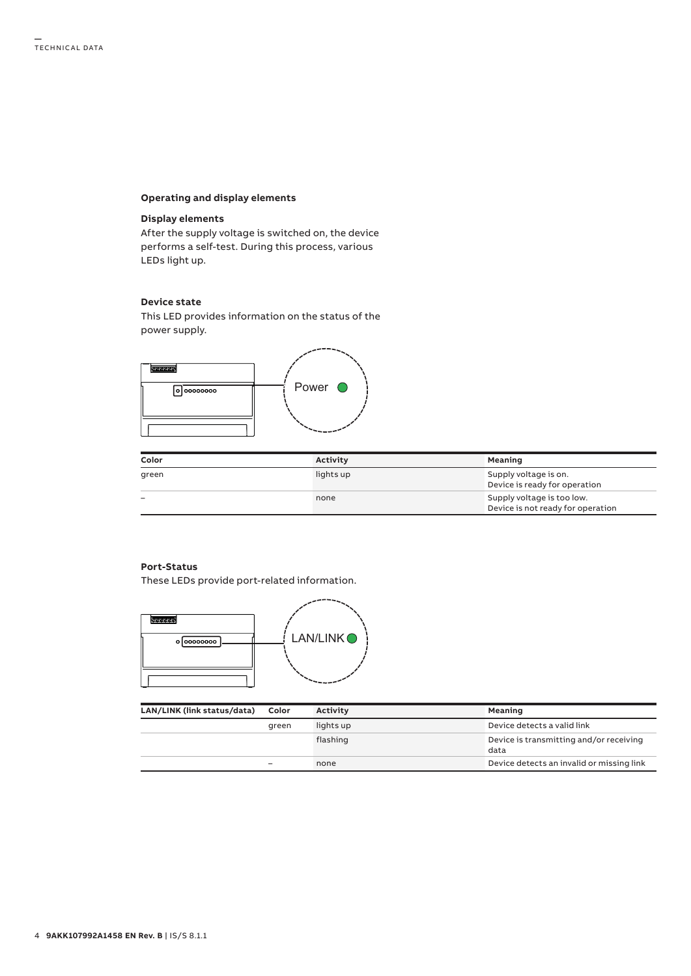#### **Operating and display elements**

#### **Display elements**

After the supply voltage is switched on, the device performs a self-test. During this process, various LEDs light up.

#### **Device state**

This LED provides information on the status of the power supply.



| Color | <b>Activity</b> | Meaning                                                         |  |
|-------|-----------------|-----------------------------------------------------------------|--|
| green | lights up       | Supply voltage is on.<br>Device is ready for operation          |  |
|       | none            | Supply voltage is too low.<br>Device is not ready for operation |  |

#### **Port-Status**

These LEDs provide port-related information.



| LAN/LINK (link status/data)<br>Color |       | <b>Activity</b><br>Meaning |                                                 |
|--------------------------------------|-------|----------------------------|-------------------------------------------------|
|                                      | areen | lights up                  | Device detects a valid link                     |
|                                      |       | flashing                   | Device is transmitting and/or receiving<br>data |
|                                      |       | none                       | Device detects an invalid or missing link       |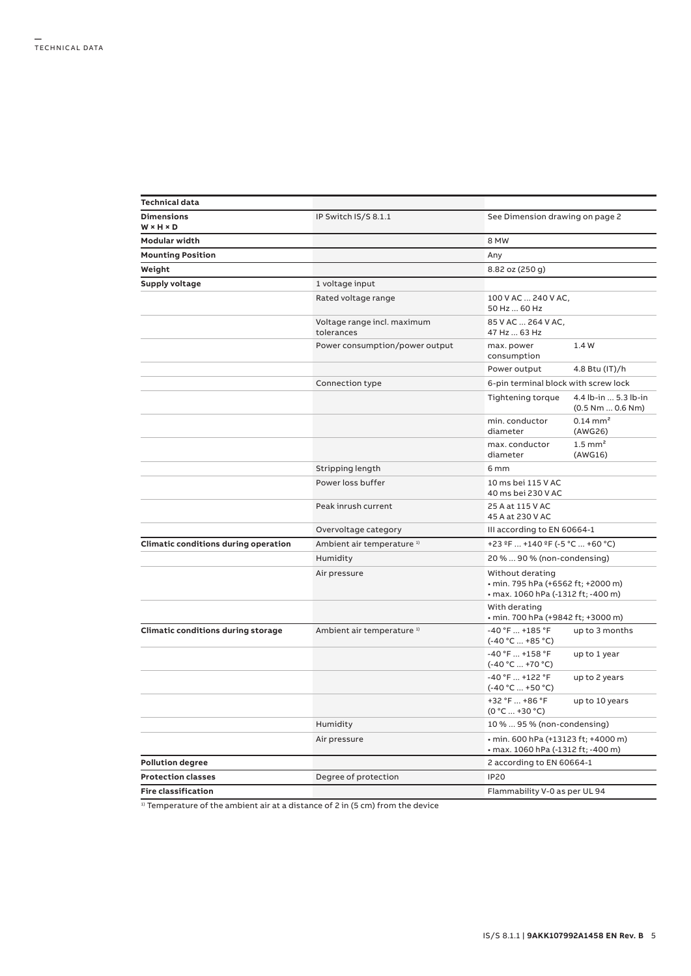| <b>Technical data</b>                     |                                           |                                                                                              |  |  |
|-------------------------------------------|-------------------------------------------|----------------------------------------------------------------------------------------------|--|--|
| <b>Dimensions</b><br>W×H×D                | IP Switch IS/S 8.1.1                      | See Dimension drawing on page 2                                                              |  |  |
| Modular width                             |                                           | 8 MW                                                                                         |  |  |
| <b>Mounting Position</b>                  |                                           | Any                                                                                          |  |  |
| Weight                                    |                                           | 8.82 oz (250 g)                                                                              |  |  |
| <b>Supply voltage</b>                     | 1 voltage input                           |                                                                                              |  |  |
|                                           | Rated voltage range                       | 100 V AC  240 V AC,<br>50 Hz  60 Hz                                                          |  |  |
|                                           | Voltage range incl. maximum<br>tolerances | 85 V AC  264 V AC,<br>47 Hz  63 Hz                                                           |  |  |
|                                           | Power consumption/power output            | max. power<br>1.4 W<br>consumption                                                           |  |  |
|                                           |                                           | Power output<br>4.8 Btu (IT)/h                                                               |  |  |
|                                           | Connection type                           | 6-pin terminal block with screw lock                                                         |  |  |
|                                           |                                           | Tightening torque<br>4.4 lb-in  5.3 lb-in<br>$(0.5$ Nm $0.6$ Nm)                             |  |  |
|                                           |                                           | min. conductor<br>$0.14 \, \text{mm}^2$<br>diameter<br>(AWG26)                               |  |  |
|                                           |                                           | max. conductor<br>$1.5$ mm <sup>2</sup><br>diameter<br>(AWG16)                               |  |  |
|                                           | Stripping length                          | 6 <sub>mm</sub>                                                                              |  |  |
|                                           | Power loss buffer                         | 10 ms bei 115 V AC<br>40 ms bei 230 V AC                                                     |  |  |
|                                           | Peak inrush current                       | 25 A at 115 V AC<br>45 A at 230 V AC                                                         |  |  |
|                                           | Overvoltage category                      | III according to EN 60664-1                                                                  |  |  |
| Climatic conditions during operation      | Ambient air temperature <sup>1)</sup>     | +23 ºF  +140 ºF (-5 °C  +60 °C)                                                              |  |  |
|                                           | Humidity                                  | 20 %  90 % (non-condensing)                                                                  |  |  |
|                                           | Air pressure                              | Without derating<br>• min. 795 hPa (+6562 ft; +2000 m)<br>• max. 1060 hPa (-1312 ft; -400 m) |  |  |
|                                           |                                           | With derating<br>• min. 700 hPa (+9842 ft; +3000 m)                                          |  |  |
| <b>Climatic conditions during storage</b> | Ambient air temperature <sup>1)</sup>     | $-40$ °F  +185 °F<br>up to 3 months<br>$(-40 °C  +85 °C)$                                    |  |  |
|                                           |                                           | $-40$ °F  +158 °F<br>up to 1 year<br>$(-40 °C  +70 °C)$                                      |  |  |
|                                           |                                           | $-40$ °F  +122 °F<br>up to 2 years<br>$(-40 °C  +50 °C)$                                     |  |  |
|                                           |                                           | +32 °F  +86 °F<br>up to 10 years<br>$(0 °C  +30 °C)$                                         |  |  |
|                                           | Humidity                                  | 10 %  95 % (non-condensing)                                                                  |  |  |
|                                           | Air pressure                              | • min. 600 hPa (+13123 ft; +4000 m)<br>• max. 1060 hPa (-1312 ft; -400 m)                    |  |  |
| <b>Pollution degree</b>                   |                                           | 2 according to EN 60664-1                                                                    |  |  |
| <b>Protection classes</b>                 | Degree of protection                      | <b>IP20</b>                                                                                  |  |  |
| <b>Fire classification</b>                |                                           | Flammability V-0 as per UL 94                                                                |  |  |

<sup>1)</sup> Temperature of the ambient air at a distance of 2 in (5 cm) from the device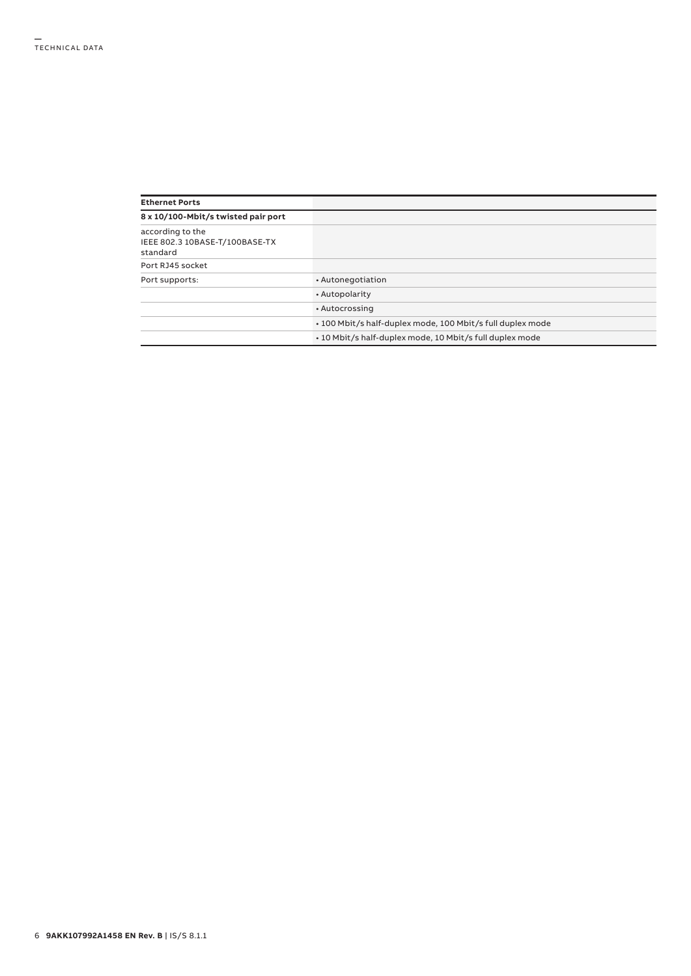| <b>Ethernet Ports</b>                                          |                                                            |
|----------------------------------------------------------------|------------------------------------------------------------|
| 8 x 10/100-Mbit/s twisted pair port                            |                                                            |
| according to the<br>IEEE 802.3 10BASE-T/100BASE-TX<br>standard |                                                            |
| Port RJ45 socket                                               |                                                            |
| Port supports:                                                 | • Autonegotiation                                          |
|                                                                | • Autopolarity                                             |
|                                                                | • Autocrossing                                             |
|                                                                | • 100 Mbit/s half-duplex mode, 100 Mbit/s full duplex mode |
|                                                                | • 10 Mbit/s half-duplex mode, 10 Mbit/s full duplex mode   |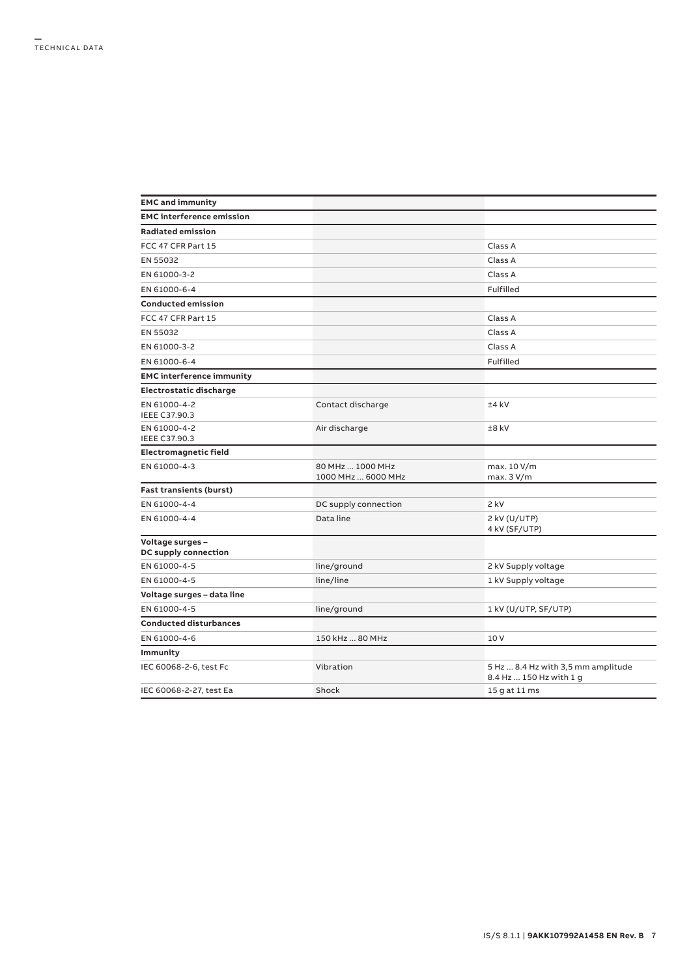|                                        | Class A                                                       |  |
|----------------------------------------|---------------------------------------------------------------|--|
|                                        | Class A                                                       |  |
|                                        | Class A                                                       |  |
|                                        | Fulfilled                                                     |  |
|                                        |                                                               |  |
|                                        | Class A                                                       |  |
|                                        | Class A                                                       |  |
|                                        | Class A                                                       |  |
|                                        | Fulfilled                                                     |  |
|                                        |                                                               |  |
|                                        |                                                               |  |
| Contact discharge                      | $±4$ kV                                                       |  |
| Air discharge                          | $±8$ kV                                                       |  |
|                                        |                                                               |  |
| 80 MHz  1000 MHz<br>1000 MHz  6000 MHz | max. 10 V/m<br>max. 3 V/m                                     |  |
|                                        |                                                               |  |
| DC supply connection                   | 2 kV                                                          |  |
| Data line                              | 2 kV (U/UTP)<br>4 kV (SF/UTP)                                 |  |
|                                        |                                                               |  |
| line/ground                            | 2 kV Supply voltage                                           |  |
| line/line                              | 1 kV Supply voltage                                           |  |
|                                        |                                                               |  |
| line/ground                            | 1 kV (U/UTP, SF/UTP)                                          |  |
|                                        |                                                               |  |
| 150 kHz  80 MHz                        | 10 V                                                          |  |
|                                        |                                                               |  |
| Vibration                              | 5 Hz  8.4 Hz with 3,5 mm amplitude<br>8.4 Hz  150 Hz with 1 g |  |
| Shock                                  | 15 g at 11 ms                                                 |  |
|                                        |                                                               |  |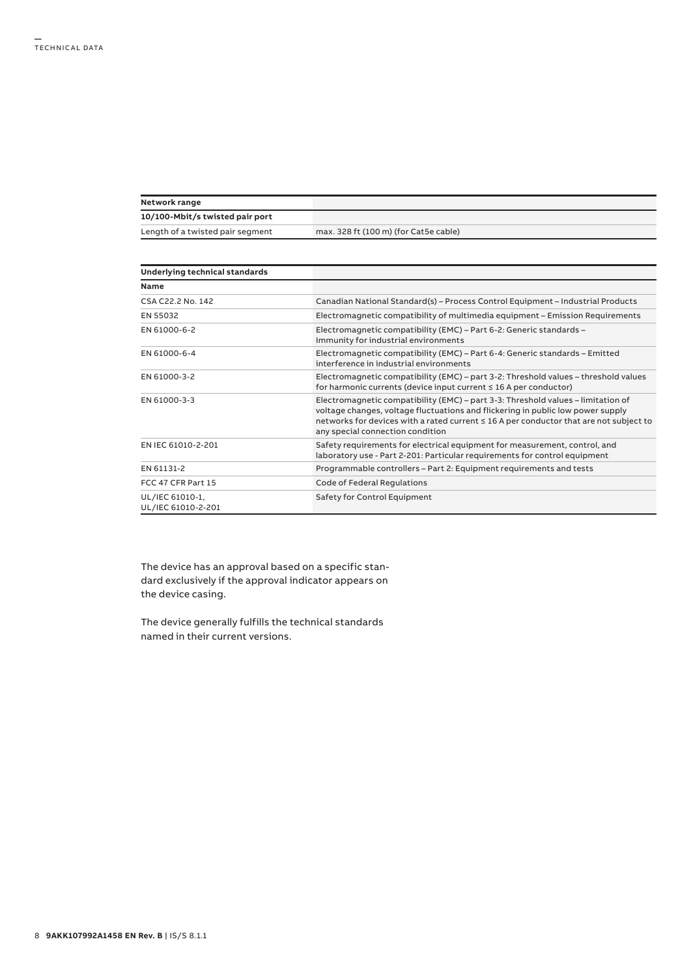## **Network range 10/100-Mbit/s twisted pair port** Length of a twisted pair segment max. 328 ft (100 m) (for Cat5e cable)

| Underlying technical standards        |                                                                                                                                                                                                                                                                                                   |
|---------------------------------------|---------------------------------------------------------------------------------------------------------------------------------------------------------------------------------------------------------------------------------------------------------------------------------------------------|
| <b>Name</b>                           |                                                                                                                                                                                                                                                                                                   |
| CSA C22.2 No. 142                     | Canadian National Standard(s) - Process Control Equipment - Industrial Products                                                                                                                                                                                                                   |
| EN 55032                              | Electromagnetic compatibility of multimedia equipment - Emission Requirements                                                                                                                                                                                                                     |
| EN 61000-6-2                          | Electromagnetic compatibility (EMC) - Part 6-2: Generic standards -<br>Immunity for industrial environments                                                                                                                                                                                       |
| EN 61000-6-4                          | Electromagnetic compatibility (EMC) – Part 6-4: Generic standards – Emitted<br>interference in industrial environments                                                                                                                                                                            |
| EN 61000-3-2                          | Electromagnetic compatibility (EMC) – part 3-2: Threshold values – threshold values<br>for harmonic currents (device input current $\leq 16$ A per conductor)                                                                                                                                     |
| EN 61000-3-3                          | Electromagnetic compatibility (EMC) – part 3-3: Threshold values – limitation of<br>voltage changes, voltage fluctuations and flickering in public low power supply<br>networks for devices with a rated current ≤ 16 A per conductor that are not subject to<br>any special connection condition |
| EN IEC 61010-2-201                    | Safety requirements for electrical equipment for measurement, control, and<br>laboratory use - Part 2-201: Particular requirements for control equipment                                                                                                                                          |
| EN 61131-2                            | Programmable controllers - Part 2: Equipment requirements and tests                                                                                                                                                                                                                               |
| FCC 47 CFR Part 15                    | Code of Federal Regulations                                                                                                                                                                                                                                                                       |
| UL/IEC 61010-1,<br>UL/IEC 61010-2-201 | Safety for Control Equipment                                                                                                                                                                                                                                                                      |

The device has an approval based on a specific standard exclusively if the approval indicator appears on the device casing.

The device generally fulfills the technical standards named in their current versions.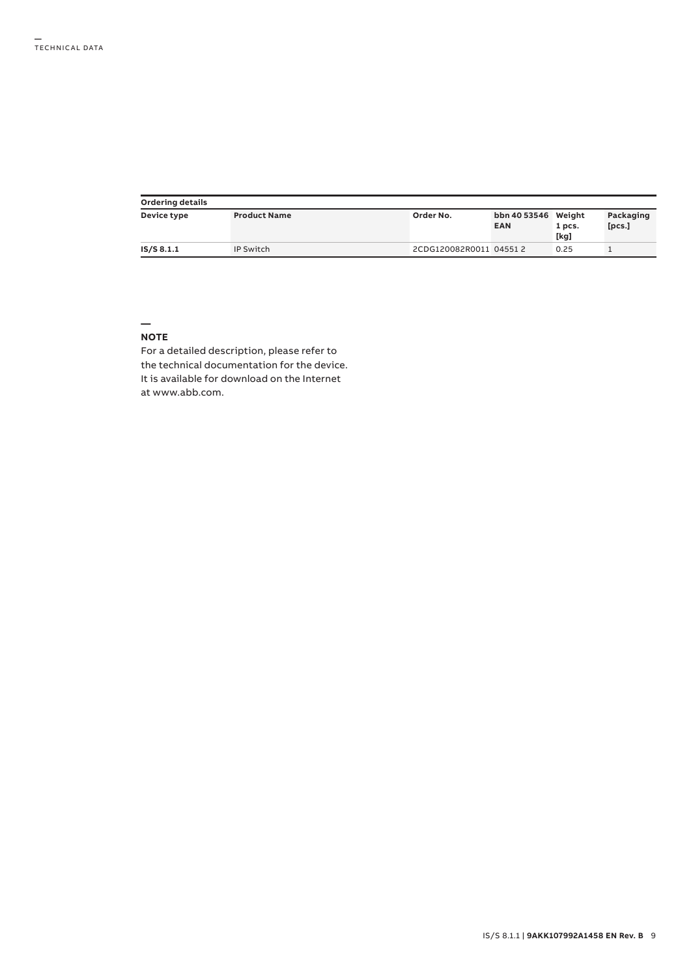| <b>Ordering details</b> |                     |                         |                                   |                |                     |
|-------------------------|---------------------|-------------------------|-----------------------------------|----------------|---------------------|
| Device type             | <b>Product Name</b> | Order No.               | bbn 40 53546 Weight<br><b>EAN</b> | 1 pcs.<br>[kg] | Packaging<br>[pcs.] |
| IS/S 8.1.1              | IP Switch           | 2CDG120082R0011 04551 2 |                                   | 0.25           |                     |

#### **— NOTE**

For a detailed description, please refer to the technical documentation for the device. It is available for download on the Internet at www.abb.com.